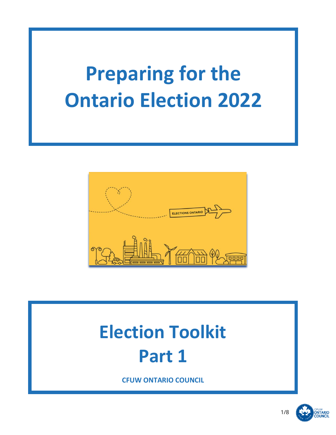# **Preparing for the Ontario Election 2022**



## **Election Toolkit Part 1**

**CFUW ONTARIO COUNCIL**



**ONTARIO**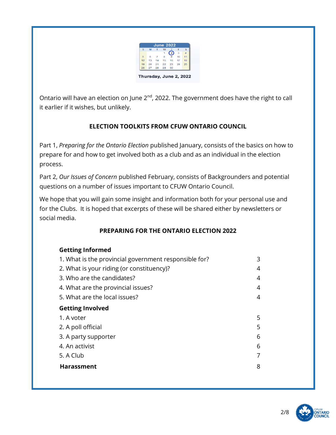| s  | M  |    | w  |                | F<br>3 | s<br>$\boldsymbol{\Lambda}$ |
|----|----|----|----|----------------|--------|-----------------------------|
|    |    |    | 1  | $\overline{2}$ |        |                             |
| 5  | 6  |    | 8  |                | 10     | 11                          |
| 12 | 13 | 14 | 15 | 16             | 17     | 18                          |
| 19 | 20 | 21 | 22 | - 23           | 24     | 25                          |
| 26 | 27 | 28 | 29 | 30             |        |                             |

Ontario will have an election on June 2<sup>nd</sup>, 2022. The government does have the right to call it earlier if it wishes, but unlikely.

### **ELECTION TOOLKITS FROM CFUW ONTARIO COUNCIL**

Part 1, *Preparing for the Ontario Election* published January, consists of the basics on how to prepare for and how to get involved both as a club and as an individual in the election process.

Part 2, *Our Issues of Concern* published February, consists of Backgrounders and potential questions on a number of issues important to CFUW Ontario Council.

We hope that you will gain some insight and information both for your personal use and for the Clubs. It is hoped that excerpts of these will be shared either by newsletters or social media.

#### **PREPARING FOR THE ONTARIO ELECTION 2022**

#### **Getting Informed**

| 1. What is the provincial government responsible for? | 3 |
|-------------------------------------------------------|---|
| 2. What is your riding (or constituency)?             | 4 |
| 3. Who are the candidates?                            | 4 |
| 4. What are the provincial issues?                    | 4 |
| 5. What are the local issues?                         | 4 |
| <b>Getting Involved</b>                               |   |
| 1. A voter                                            | 5 |
| 2. A poll official                                    | 5 |
| 3. A party supporter                                  | 6 |
| 4. An activist                                        | 6 |
| 5. A Club                                             | 7 |
| <b>Harassment</b>                                     | 8 |
|                                                       |   |

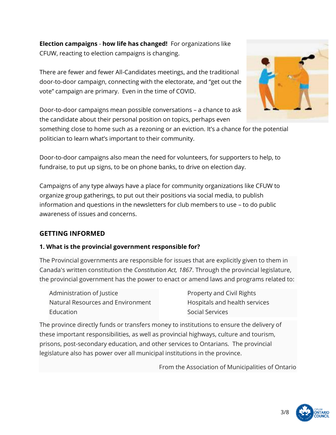**Election campaigns** - **how life has changed!** For organizations like CFUW, reacting to election campaigns is changing.

There are fewer and fewer All-Candidates meetings, and the traditional door-to-door campaign, connecting with the electorate, and "get out the vote" campaign are primary. Even in the time of COVID.



Door-to-door campaigns mean possible conversations – a chance to ask the candidate about their personal position on topics, perhaps even

something close to home such as a rezoning or an eviction. It's a chance for the potential politician to learn what's important to their community.

Door-to-door campaigns also mean the need for volunteers, for supporters to help, to fundraise, to put up signs, to be on phone banks, to drive on election day.

Campaigns of any type always have a place for community organizations like CFUW to organize group gatherings, to put out their positions via social media, to publish information and questions in the newsletters for club members to use – to do public awareness of issues and concerns.

## **GETTING INFORMED**

#### **1. What is the provincial government responsible for?**

The Provincial governments are responsible for issues that are explicitly given to them in Canada's written constitution the *Constitution Act, 1867*. Through the provincial legislature, the provincial government has the power to enact or amend laws and programs related to:

| Administration of Justice         | <b>Property and Civil Rights</b> |  |  |
|-----------------------------------|----------------------------------|--|--|
| Natural Resources and Environment | Hospitals and health services    |  |  |
| Education                         | <b>Social Services</b>           |  |  |

The province directly funds or transfers money to institutions to ensure the delivery of these important responsibilities, as well as provincial highways, culture and tourism, prisons, post-secondary education, and other services to Ontarians. The provincial legislature also has power over all municipal institutions in the province.

From the Association of Municipalities of Ontario

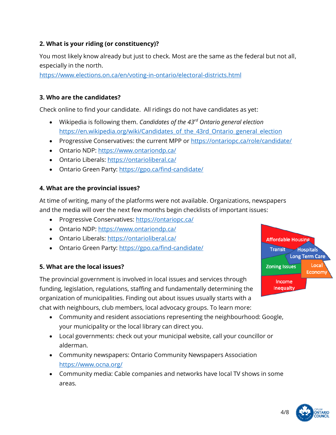#### **2. What is your riding (or constituency)?**

You most likely know already but just to check. Most are the same as the federal but not all, especially in the north.

<https://www.elections.on.ca/en/voting-in-ontario/electoral-districts.html>

#### **3. Who are the candidates?**

Check online to find your candidate. All ridings do not have candidates as yet:

- Wikipedia is following them. *Candidates of the 43rd Ontario general election* https://en.wikipedia.org/wiki/Candidates of the 43rd Ontario general election
- Progressive Conservatives: the current MPP or<https://ontariopc.ca/role/candidate/>
- Ontario NDP: <https://www.ontariondp.ca/>
- Ontario Liberals: <https://ontarioliberal.ca/>
- Ontario Green Party: <https://gpo.ca/find-candidate/>

#### **4. What are the provincial issues?**

At time of writing, many of the platforms were not available. Organizations, newspapers and the media will over the next few months begin checklists of important issues:

- Progressive Conservatives:<https://ontariopc.ca/>
- Ontario NDP:<https://www.ontariondp.ca/>
- Ontario Liberals:<https://ontarioliberal.ca/>
- Ontario Green Party:<https://gpo.ca/find-candidate/>

#### **5. What are the local issues?**

The provincial government is involved in local issues and services through funding, legislation, regulations, staffing and fundamentally determining the organization of municipalities. Finding out about issues usually starts with a chat with neighbours, club members, local advocacy groups. To learn more:

- Community and resident associations representing the neighbourhood: Google, your municipality or the local library can direct you.
- Local governments: check out your municipal website, call your councillor or alderman.
- Community newspapers: Ontario Community Newspapers Association <https://www.ocna.org/>
- Community media: Cable companies and networks have local TV shows in some areas.



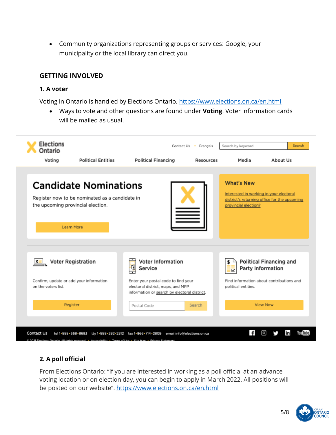• Community organizations representing groups or services: Google, your municipality or the local library can direct you.

#### **GETTING INVOLVED**

#### **1. A voter**

Voting in Ontario is handled by Elections Ontario. <https://www.elections.on.ca/en.html>

• Ways to vote and other questions are found under **Voting**. Voter information cards will be mailed as usual.



#### **2. A poll official**

From Elections Ontario: "If you are interested in working as a poll official at an advance voting location or on election day, you can begin to apply in March 2022. All positions will be posted on our website". <https://www.elections.on.ca/en.html>

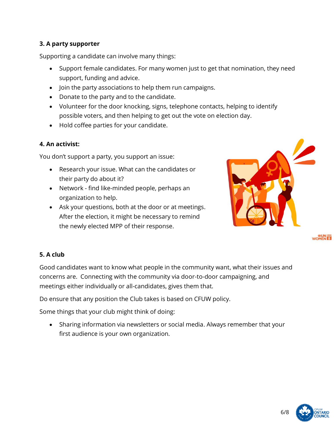#### **3. A party supporter**

Supporting a candidate can involve many things:

- Support female candidates. For many women just to get that nomination, they need support, funding and advice.
- Join the party associations to help them run campaigns.
- Donate to the party and to the candidate.
- Volunteer for the door knocking, signs, telephone contacts, helping to identify possible voters, and then helping to get out the vote on election day.
- Hold coffee parties for your candidate.

#### **4. An activist:**

You don't support a party, you support an issue:

- Research your issue. What can the candidates or their party do about it?
- Network find like-minded people, perhaps an organization to help.
- Ask your questions, both at the door or at meetings. After the election, it might be necessary to remind the newly elected MPP of their response.



WOMEN ET

#### **5. A club**

Good candidates want to know what people in the community want, what their issues and concerns are. Connecting with the community via door-to-door campaigning, and meetings either individually or all-candidates, gives them that.

Do ensure that any position the Club takes is based on CFUW policy.

Some things that your club might think of doing:

• Sharing information via newsletters or social media. Always remember that your first audience is your own organization.



6/8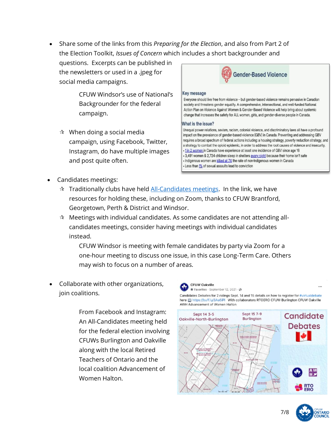• Share some of the links from this *Preparing for the Election*, and also from Part 2 of the Election Toolkit, *Issues of Concern* which includes a short backgrounder and

questions. Excerpts can be published in the newsletters or used in a .jpeg for social media campaigns.

> CFUW Windsor's use of National's Backgrounder for the federal campaign.

 $\mathbf{\hat{x}}$  When doing a social media campaign, using Facebook, Twitter, Instagram, do have multiple images and post quite often.



#### Key message

Everyone should live free from violence - but gender-based violence remains pervasive in Canadian society and threatens gender equality. A comprehensive, intersectional, and well-funded National Action Plan on Violence Against Women & Gender-Based Violence will help bring about systemic change that increases the safety for ALL women, girls, and gender-diverse people in Canada.

#### What is the issue?

Unequal power relations, sexism, racism, colonial violence, and discriminatory laws all have a profound impact on the prevalence of gender-based violence (GBV) in Canada. Preventing and addressing GBV requires a broad spectrum of federal actions including: a housing strategy, poverty reduction strategy, and a strategy to combat the opioid epidemic, in order to address the root causes of violence and insecurity. . 1in 2 women in Canada have experience at least one incidence of GBV since age 16 - 3,491 women & 2,724 children sleep in shelters every night because their home isn't safe · Indigenous women are killed at 7X the rate of non-Indigenous women in Canada Less than 1% of sexual assaults lead to conviction

- Candidates meetings:
	- $\star$  Traditionally clubs have held [All-Candidates meetings.](https://cfuwontcouncil.org/elections/) In the link, we have resources for holding these, including on Zoom, thanks to CFUW Brantford, Georgetown, Perth & District and Windsor.
	- $\hat{x}$  Meetings with individual candidates. As some candidates are not attending allcandidates meetings, consider having meetings with individual candidates instead.

CFUW Windsor is meeting with female candidates by party via Zoom for a one-hour meeting to discuss one issue, in this case Long-Term Care. Others may wish to focus on a number of areas.

• Collaborate with other organizations, join coalitions.

> From Facebook and Instagram: An All-Candidates meeting held for the federal election involving CFUWs Burlington and Oakville along with the local Retired Teachers of Ontario and the local coalition Advancement of Women Halton.